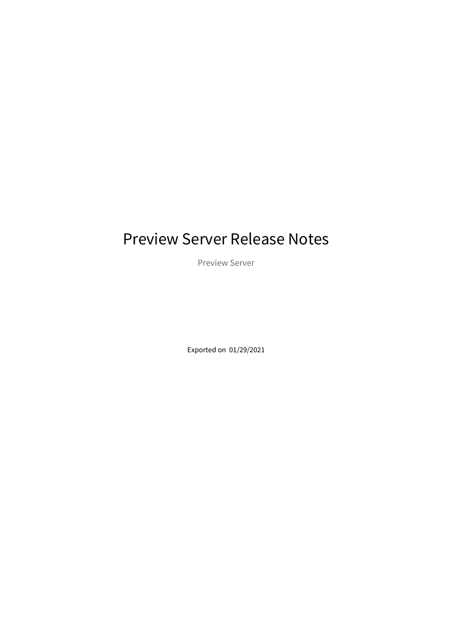# Preview Server Release Notes

Preview Server

Exported on 01/29/2021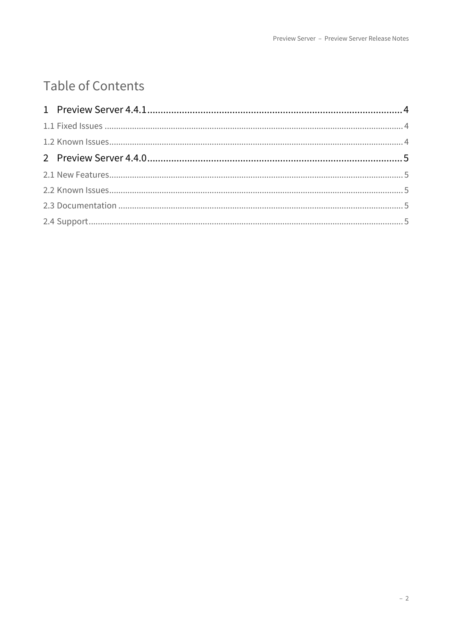## Table of Contents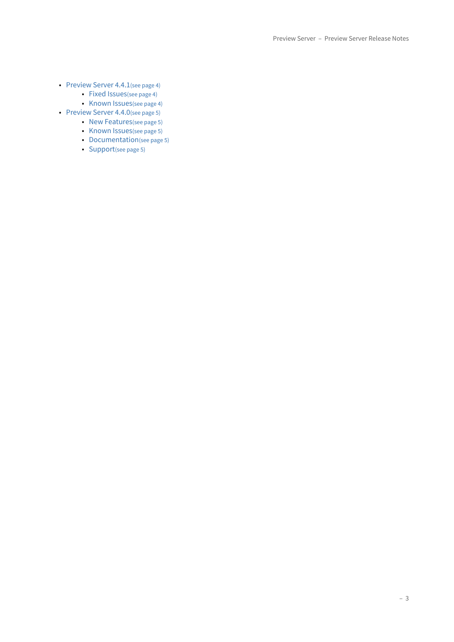- [Preview Server 4.4.1](#page-3-0)[\(see page 4\)](#page-3-0)
	- [Fixed Issues](#page-3-1)[\(see page 4\)](#page-3-1)
	- [Known Issues](#page-3-2)[\(see page 4\)](#page-3-2)
- [Preview Server 4.4.0](#page-4-0)[\(see page 5\)](#page-4-0)
	- [New Features](#page-4-1)[\(see page 5\)](#page-4-1)
	- [Known Issues](#page-4-2)[\(see page 5\)](#page-4-2)
	- [Documentation](#page-4-3)[\(see page 5\)](#page-4-3)
	- [Support](#page-4-4)[\(see page 5\)](#page-4-4)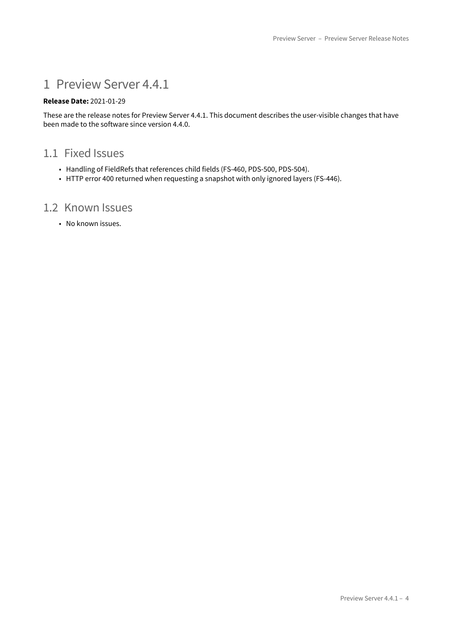### <span id="page-3-0"></span>1 Preview Server 4.4.1

#### **Release Date:** 2021-01-29

These are the release notes for Preview Server 4.4.1. This document describes the user-visible changes that have been made to the software since version 4.4.0.

### <span id="page-3-1"></span>1.1 Fixed Issues

- Handling of FieldRefs that references child fields (FS-460, PDS-500, PDS-504).
- HTTP error 400 returned when requesting a snapshot with only ignored layers (FS-446).

### <span id="page-3-2"></span>1.2 Known Issues

• No known issues.